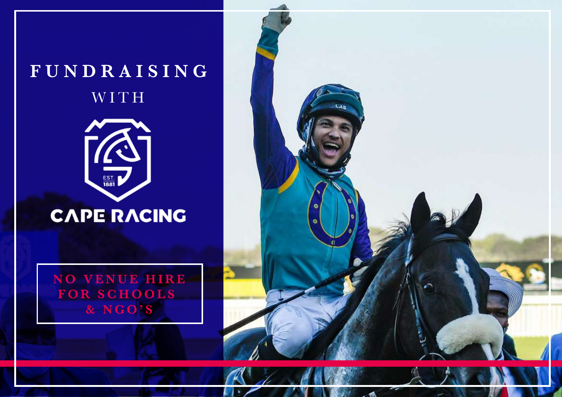# **FUNDRAISING**  WITH



# **CAPE RACING**

**NO VENUE HIRE FOR SCHOOLS & NGO'S**

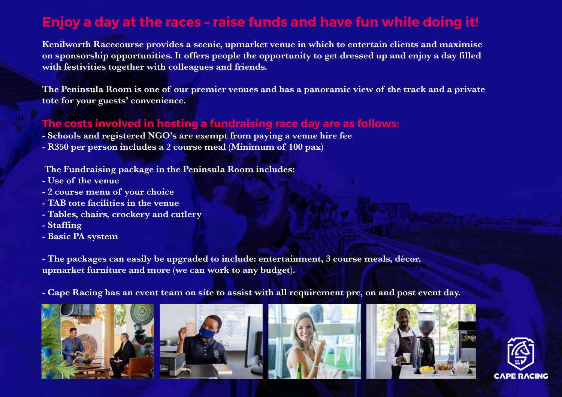### **Enjoy a day at the races – raise funds and have fun while doing it!**

**Kenilworth Racecourse provides a scenic, upmarket venue in which to entertain clients and maximise on sponsorship opportunities. It offers people the opportunity to get dressed up and enjoy a day filled with festivities together with colleagues and friends.**

and the Peninsula Room is one of our premier venues and has a panoramic view of the track and a private **The Peninsula Room is one of our premier** venues and has a panoramic view of the track and a private **tote for your guests' convenience.**

#### **The costs involved in hosting a fundraising race day are as follows:**

- **Schools and registered NGO's are exempt from paying a venue hire fee**
- **R350 per person includes a 2 course meal (Minimum of 100 pax)**

**The Fundraising package in the Peninsula Room includes:**

- **Use of the venue**
- **2 course menu of your choice**
- **TAB tote facilities in the venue**
- **Tables, chairs, crockery and cutlery**
- **Staffing**
- **Basic PA system**

**- The packages can easily be upgraded to include: entertainment, 3 course meals, décor, upmarket furniture and more (we can work to any budget).**

**- Cape Racing has an event team on site to assist with all requirement pre, on and post event day.**









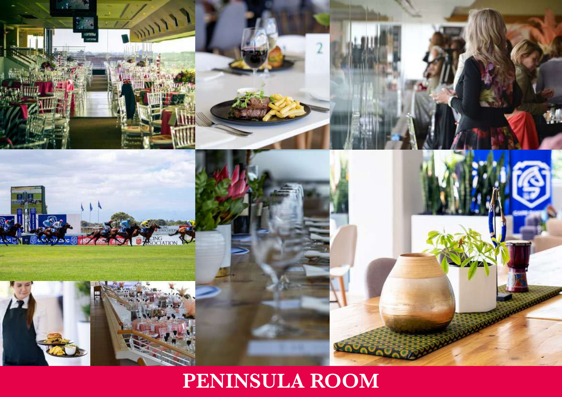

## **PENINSULA ROOM**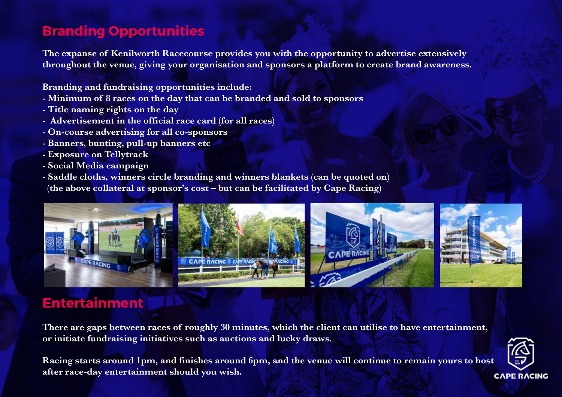### **Branding Opportunities**

**The expanse of Kenilworth Racecourse provides you with the opportunity to advertise extensively throughout the venue, giving your organisation and sponsors a platform to create brand awareness.**

**Branding and fundraising opportunities include:**

- **Minimum of 8 races on the day that can be branded and sold to sponsors**
- **Title naming rights on the day**
- **Advertisement in the official race card (for all races)**
- **On-course advertising for all co-sponsors**
- **Banners, bunting, pull-up banners etc**
- **Exposure on Tellytrack**
- **Social Media campaign**
- **Saddle cloths, winners circle branding and winners blankets (can be quoted on) (the above collateral at sponsor's cost – but can be facilitated by Cape Racing)**



### **Entertainment**

**There are gaps between races of roughly 30 minutes, which the client can utilise to have entertainment, or initiate fundraising initiatives such as auctions and lucky draws.**

**Racing starts around 1pm, and finishes around 6pm, and the venue will continue to remain yours to host after race-day entertainment should you wish.**

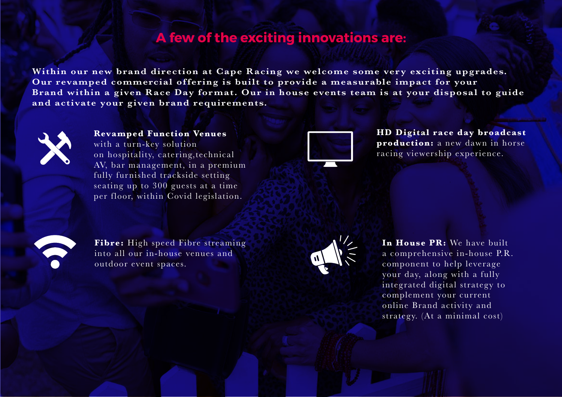### **A few of the exciting innovations are:**

**Within our new brand direction at Cape Racing we welcome some very exciting upgrades. Our revamped commercial offering is built to provide a measurable impact for your Brand within a given Race Day format. Our in house events team is at your disposal to guide and activate your given brand requirements.** 



#### **Revamped Function Venues**

with a turn-key solution on hospitality, catering,technical AV, bar management, in a premium fully furnished trackside setting seating up to 300 guests at a time per floor, within Covid legislation.



**HD Digital race day broadcast production:** a new dawn in horse racing viewership experience.



**Fibre:** High speed Fibre streaming into all our in-house venues and outdoor event spaces.



**In House PR:** We have built a comprehensive in-house P.R. component to help leverage your day, along with a fully integrated digital strategy to complement your current online Brand activity and strategy. (At a minimal cost)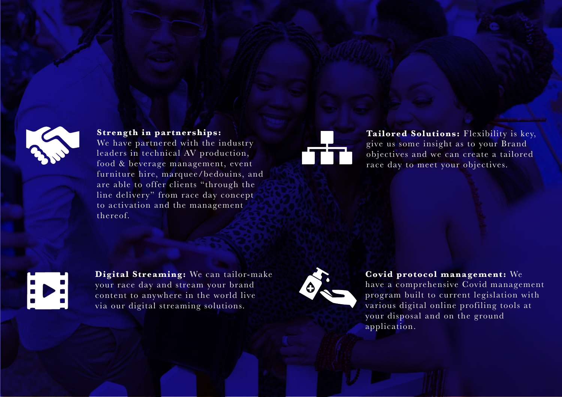

#### **Strength in partnerships:**

We have partnered with the industry leaders in technical AV production, food & beverage management, event furniture hire, marquee/bedouins, and are able to offer clients "through the line delivery" from race day concept to activation and the management thereof.



Tailored Solutions: Flexibility is key, give us some insight as to your Brand objectives and we can create a tailored race day to meet your objectives.



**Digital Streaming:** We can tailor-make your race day and stream your brand content to anywhere in the world live via our digital streaming solutions.



#### **Covid protocol management:** We

have a comprehensive Covid management program built to current legislation with various digital online profiling tools at your disposal and on the ground application.